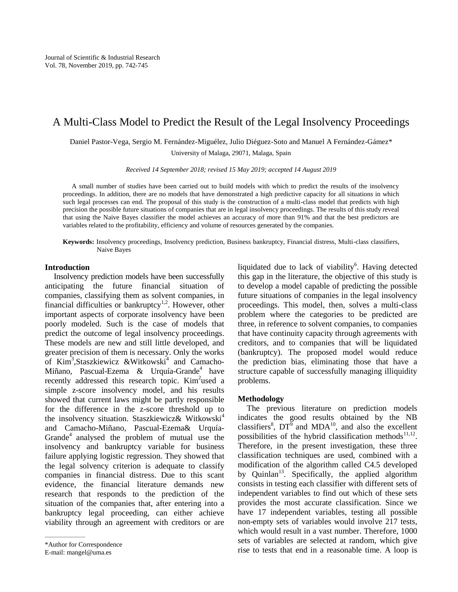# A Multi-Class Model to Predict the Result of the Legal Insolvency Proceedings

Daniel Pastor-Vega, Sergio M. Fernández-Miguélez, Julio Diéguez-Soto and Manuel A Fernández-Gámez\* University of Malaga, 29071, Malaga, Spain

*Received 14 September 2018; revised 15 May 2019; accepted 14 August 2019* 

A small number of studies have been carried out to build models with which to predict the results of the insolvency proceedings. In addition, there are no models that have demonstrated a high predictive capacity for all situations in which such legal processes can end. The proposal of this study is the construction of a multi-class model that predicts with high precision the possible future situations of companies that are in legal insolvency proceedings. The results of this study reveal that using the Naive Bayes classifier the model achieves an accuracy of more than 91% and that the best predictors are variables related to the profitability, efficiency and volume of resources generated by the companies.

**Keywords:** Insolvency proceedings, Insolvency prediction, Business bankruptcy, Financial distress, Multi-class classifiers, Naive Bayes

#### **Introduction**

Insolvency prediction models have been successfully anticipating the future financial situation of companies, classifying them as solvent companies, in financial difficulties or bankruptcy<sup>1,2</sup>. However, other important aspects of corporate insolvency have been poorly modeled. Such is the case of models that predict the outcome of legal insolvency proceedings. These models are new and still little developed, and greater precision of them is necessary. Only the works of Kim<sup>3</sup>, Staszkiewicz & Witkowski<sup>4</sup> and Camacho-Miñano, Pascual-Ezema & Urquía-Grande<sup>4</sup> have recently addressed this research topic. Kim<sup>2</sup>used a simple z-score insolvency model, and his results showed that current laws might be partly responsible for the difference in the z-score threshold up to the insolvency situation. Staszkiewicz& Witkowski<sup>4</sup> and Camacho-Miñano, Pascual-Ezema& Urquía-Grande<sup>4</sup> analysed the problem of mutual use the insolvency and bankruptcy variable for business failure applying logistic regression. They showed that the legal solvency criterion is adequate to classify companies in financial distress. Due to this scant evidence, the financial literature demands new research that responds to the prediction of the situation of the companies that, after entering into a bankruptcy legal proceeding, can either achieve viability through an agreement with creditors or are

```
E-mail: mangel@uma.es
```
——————

liquidated due to lack of viability<sup>6</sup>. Having detected this gap in the literature, the objective of this study is to develop a model capable of predicting the possible future situations of companies in the legal insolvency proceedings. This model, then, solves a multi-class problem where the categories to be predicted are three, in reference to solvent companies, to companies that have continuity capacity through agreements with creditors, and to companies that will be liquidated (bankruptcy). The proposed model would reduce the prediction bias, eliminating those that have a structure capable of successfully managing illiquidity problems.

## **Methodology**

The previous literature on prediction models indicates the good results obtained by the NB classifiers<sup>8</sup>,  $DT^5$  and MDA<sup>10</sup>, and also the excellent possibilities of the hybrid classification methods<sup>11,12</sup>. Therefore, in the present investigation, these three classification techniques are used, combined with a modification of the algorithm called C4.5 developed by Quinlan<sup>13</sup>. Specifically, the applied algorithm consists in testing each classifier with different sets of independent variables to find out which of these sets provides the most accurate classification. Since we have 17 independent variables, testing all possible non-empty sets of variables would involve 217 tests, which would result in a vast number. Therefore, 1000 sets of variables are selected at random, which give rise to tests that end in a reasonable time. A loop is

<sup>\*</sup>Author for Correspondence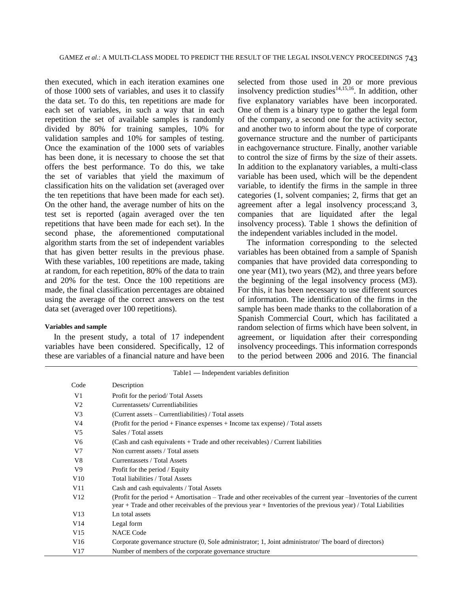then executed, which in each iteration examines one of those 1000 sets of variables, and uses it to classify the data set. To do this, ten repetitions are made for each set of variables, in such a way that in each repetition the set of available samples is randomly divided by 80% for training samples, 10% for validation samples and 10% for samples of testing. Once the examination of the 1000 sets of variables has been done, it is necessary to choose the set that offers the best performance. To do this, we take the set of variables that yield the maximum of classification hits on the validation set (averaged over the ten repetitions that have been made for each set). On the other hand, the average number of hits on the test set is reported (again averaged over the ten repetitions that have been made for each set). In the second phase, the aforementioned computational algorithm starts from the set of independent variables that has given better results in the previous phase. With these variables, 100 repetitions are made, taking at random, for each repetition, 80% of the data to train and 20% for the test. Once the 100 repetitions are made, the final classification percentages are obtained using the average of the correct answers on the test data set (averaged over 100 repetitions).

#### **Variables and sample**

In the present study, a total of 17 independent variables have been considered. Specifically, 12 of these are variables of a financial nature and have been

selected from those used in 20 or more previous insolvency prediction studies<sup>14,15,16</sup>. In addition, other five explanatory variables have been incorporated. One of them is a binary type to gather the legal form of the company, a second one for the activity sector, and another two to inform about the type of corporate governance structure and the number of participants in eachgovernance structure. Finally, another variable to control the size of firms by the size of their assets. In addition to the explanatory variables, a multi-class variable has been used, which will be the dependent variable, to identify the firms in the sample in three categories (1, solvent companies; 2, firms that get an agreement after a legal insolvency process;and 3, companies that are liquidated after the legal insolvency process). Table 1 shows the definition of the independent variables included in the model.

The information corresponding to the selected variables has been obtained from a sample of Spanish companies that have provided data corresponding to one year (M1), two years (M2), and three years before the beginning of the legal insolvency process (M3). For this, it has been necessary to use different sources of information. The identification of the firms in the sample has been made thanks to the collaboration of a Spanish Commercial Court, which has facilitated a random selection of firms which have been solvent, in agreement, or liquidation after their corresponding insolvency proceedings. This information corresponds to the period between 2006 and 2016. The financial

| Table 1 — Independent variables definition |                                                                                                                                                                                                                                         |  |  |  |  |
|--------------------------------------------|-----------------------------------------------------------------------------------------------------------------------------------------------------------------------------------------------------------------------------------------|--|--|--|--|
| Code                                       | Description                                                                                                                                                                                                                             |  |  |  |  |
| V1                                         | Profit for the period/Total Assets                                                                                                                                                                                                      |  |  |  |  |
| V <sub>2</sub>                             | Currentassets/Currentliabilities                                                                                                                                                                                                        |  |  |  |  |
| V3                                         | (Current assets – Currentliabilities) / Total assets                                                                                                                                                                                    |  |  |  |  |
| V4                                         | (Profit for the period $+$ Finance expenses $+$ Income tax expense) / Total assets                                                                                                                                                      |  |  |  |  |
| V5                                         | Sales / Total assets                                                                                                                                                                                                                    |  |  |  |  |
| V6                                         | (Cash and cash equivalents + Trade and other receivables) / Current liabilities                                                                                                                                                         |  |  |  |  |
| V7                                         | Non current assets / Total assets                                                                                                                                                                                                       |  |  |  |  |
| V8                                         | Currentassets / Total Assets                                                                                                                                                                                                            |  |  |  |  |
| V9                                         | Profit for the period / Equity                                                                                                                                                                                                          |  |  |  |  |
| V10                                        | Total liabilities / Total Assets                                                                                                                                                                                                        |  |  |  |  |
| V11                                        | Cash and cash equivalents / Total Assets                                                                                                                                                                                                |  |  |  |  |
| V <sub>12</sub>                            | (Profit for the period + Amortisation – Trade and other receivables of the current year – Inventories of the current<br>year + Trade and other receivables of the previous year + Inventories of the previous year) / Total Liabilities |  |  |  |  |
| V13                                        | Ln total assets                                                                                                                                                                                                                         |  |  |  |  |
| V <sub>14</sub>                            | Legal form                                                                                                                                                                                                                              |  |  |  |  |
| V15                                        | <b>NACE Code</b>                                                                                                                                                                                                                        |  |  |  |  |
| V16                                        | Corporate governance structure (0, Sole administrator; 1, Joint administrator/ The board of directors)                                                                                                                                  |  |  |  |  |
| V17                                        | Number of members of the corporate governance structure                                                                                                                                                                                 |  |  |  |  |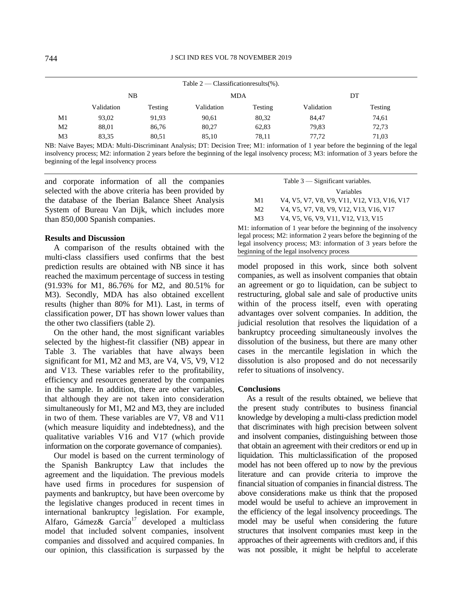| Table $2$ — Classification results (%). |            |                |            |         |            |         |  |  |
|-----------------------------------------|------------|----------------|------------|---------|------------|---------|--|--|
|                                         | NB         |                | <b>MDA</b> |         | DT         |         |  |  |
|                                         | Validation | <b>Testing</b> | Validation | Testing | Validation | Testing |  |  |
| M1                                      | 93,02      | 91,93          | 90,61      | 80,32   | 84,47      | 74,61   |  |  |
| M2                                      | 88,01      | 86,76          | 80,27      | 62,83   | 79,83      | 72,73   |  |  |
| M3                                      | 83,35      | 80,51          | 85,10      | 78,11   | 77,72      | 71,03   |  |  |

NB: Naive Bayes; MDA: Multi-Discriminant Analysis; DT: Decision Tree; M1: information of 1 year before the beginning of the legal insolvency process; M2: information 2 years before the beginning of the legal insolvency process; M3: information of 3 years before the beginning of the legal insolvency process

and corporate information of all the companies selected with the above criteria has been provided by the database of the Iberian Balance Sheet Analysis System of Bureau Van Dijk, which includes more than 850,000 Spanish companies.

### **Results and Discussion**

A comparison of the results obtained with the multi-class classifiers used confirms that the best prediction results are obtained with NB since it has reached the maximum percentage of success in testing (91.93% for M1, 86.76% for M2, and 80.51% for M3). Secondly, MDA has also obtained excellent results (higher than 80% for M1). Last, in terms of classification power, DT has shown lower values than the other two classifiers (table 2).

On the other hand, the most significant variables selected by the highest-fit classifier (NB) appear in Table 3. The variables that have always been significant for M1, M2 and M3, are V4, V5, V9, V12 and V13. These variables refer to the profitability, efficiency and resources generated by the companies in the sample. In addition, there are other variables, that although they are not taken into consideration simultaneously for M1, M2 and M3, they are included in two of them. These variables are V7, V8 and V11 (which measure liquidity and indebtedness), and the qualitative variables V16 and V17 (which provide information on the corporate governance of companies).

Our model is based on the current terminology of the Spanish Bankruptcy Law that includes the agreement and the liquidation. The previous models have used firms in procedures for suspension of payments and bankruptcy, but have been overcome by the legislative changes produced in recent times in international bankruptcy legislation. For example, Alfaro, Gámez& García<sup>17</sup> developed a multiclass model that included solvent companies, insolvent companies and dissolved and acquired companies. In our opinion, this classification is surpassed by the

| Table $3$ — Significant variables. |                                                                                                                                           |  |  |  |  |  |
|------------------------------------|-------------------------------------------------------------------------------------------------------------------------------------------|--|--|--|--|--|
|                                    | Variables                                                                                                                                 |  |  |  |  |  |
| M1                                 | V4, V5, V7, V8, V9, V11, V12, V13, V16, V17                                                                                               |  |  |  |  |  |
| M <sub>2</sub>                     | V4, V5, V7, V8, V9, V12, V13, V16, V17                                                                                                    |  |  |  |  |  |
| M3                                 | V <sub>4</sub> , V <sub>5</sub> , V <sub>6</sub> , V <sub>9</sub> , V <sub>11</sub> , V <sub>12</sub> , V <sub>13</sub> , V <sub>15</sub> |  |  |  |  |  |

M1: information of 1 year before the beginning of the insolvency legal process; M2: information 2 years before the beginning of the legal insolvency process; M3: information of 3 years before the beginning of the legal insolvency process

model proposed in this work, since both solvent companies, as well as insolvent companies that obtain an agreement or go to liquidation, can be subject to restructuring, global sale and sale of productive units within of the process itself, even with operating advantages over solvent companies. In addition, the judicial resolution that resolves the liquidation of a bankruptcy proceeding simultaneously involves the dissolution of the business, but there are many other cases in the mercantile legislation in which the dissolution is also proposed and do not necessarily refer to situations of insolvency.

#### **Conclusions**

As a result of the results obtained, we believe that the present study contributes to business financial knowledge by developing a multi-class prediction model that discriminates with high precision between solvent and insolvent companies, distinguishing between those that obtain an agreement with their creditors or end up in liquidation. This multiclassification of the proposed model has not been offered up to now by the previous literature and can provide criteria to improve the financial situation of companies in financial distress. The above considerations make us think that the proposed model would be useful to achieve an improvement in the efficiency of the legal insolvency proceedings. The model may be useful when considering the future structures that insolvent companies must keep in the approaches of their agreements with creditors and, if this was not possible, it might be helpful to accelerate